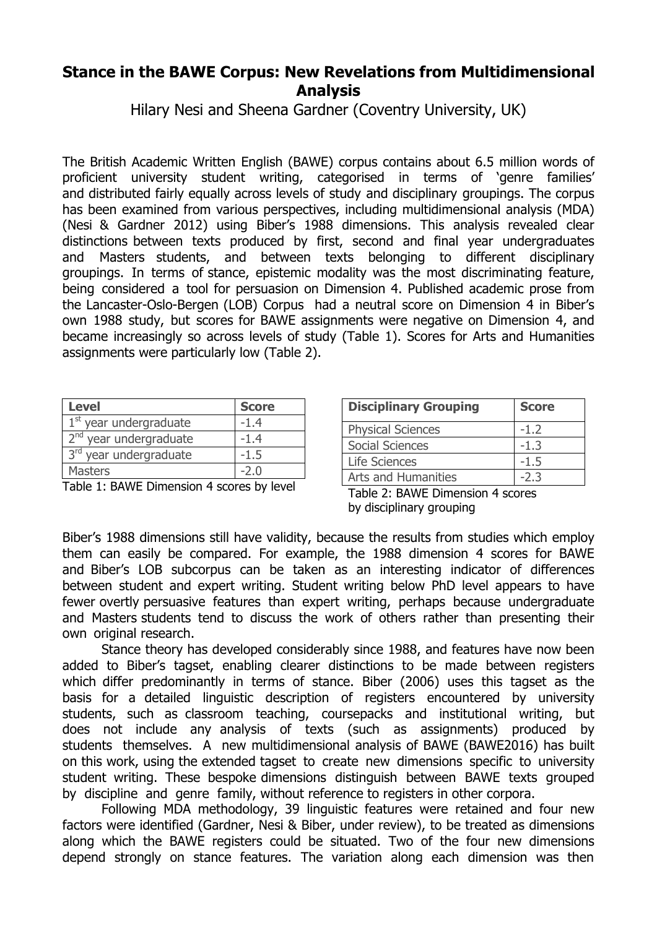## **Stance in the BAWE Corpus: New Revelations from Multidimensional Analysis**

Hilary Nesi and Sheena Gardner (Coventry University, UK)

The British Academic Written English (BAWE) corpus contains about 6.5 million words of proficient university student writing, categorised in terms of 'genre families' and distributed fairly equally across levels of study and disciplinary groupings. The corpus has been examined from various perspectives, including multidimensional analysis (MDA) (Nesi & Gardner 2012) using Biber's 1988 dimensions. This analysis revealed clear distinctions between texts produced by first, second and final year undergraduates and Masters students, and between texts belonging to different disciplinary groupings. In terms of stance, epistemic modality was the most discriminating feature, being considered a tool for persuasion on Dimension 4. Published academic prose from the Lancaster-Oslo-Bergen (LOB) Corpus had a neutral score on Dimension 4 in Biber's own 1988 study, but scores for BAWE assignments were negative on Dimension 4, and became increasingly so across levels of study (Table 1). Scores for Arts and Humanities assignments were particularly low (Table 2).

| <b>Level</b>             | <b>Score</b> |
|--------------------------|--------------|
| $1st$ year undergraduate | $-1.4$       |
| $2nd$ year undergraduate | $-1.4$       |
| 3rd year undergraduate   | $-1.5$       |
| <b>Masters</b>           | -2 በ         |

Table 1: BAWE Dimension 4 scores by level

| <b>Disciplinary Grouping</b> | <b>Score</b> |
|------------------------------|--------------|
| <b>Physical Sciences</b>     | $-1.7$       |
| Social Sciences              | -1.3         |
| Life Sciences                | $-1.5$       |
| <b>Arts and Humanities</b>   | -2.3         |

Table 2: BAWE Dimension 4 scores by disciplinary grouping

Biber's 1988 dimensions still have validity, because the results from studies which employ them can easily be compared. For example, the 1988 dimension 4 scores for BAWE and Biber's LOB subcorpus can be taken as an interesting indicator of differences between student and expert writing. Student writing below PhD level appears to have fewer overtly persuasive features than expert writing, perhaps because undergraduate and Masters students tend to discuss the work of others rather than presenting their own original research.

Stance theory has developed considerably since 1988, and features have now been added to Biber's tagset, enabling clearer distinctions to be made between registers which differ predominantly in terms of stance. Biber (2006) uses this tagset as the basis for a detailed linguistic description of registers encountered by university students, such as classroom teaching, coursepacks and institutional writing, but does not include any analysis of texts (such as assignments) produced by students themselves. A new multidimensional analysis of BAWE (BAWE2016) has built on this work, using the extended tagset to create new dimensions specific to university student writing. These bespoke dimensions distinguish between BAWE texts grouped by discipline and genre family, without reference to registers in other corpora.

Following MDA methodology, 39 linguistic features were retained and four new factors were identified (Gardner, Nesi & Biber, under review), to be treated as dimensions along which the BAWE registers could be situated. Two of the four new dimensions depend strongly on stance features. The variation along each dimension was then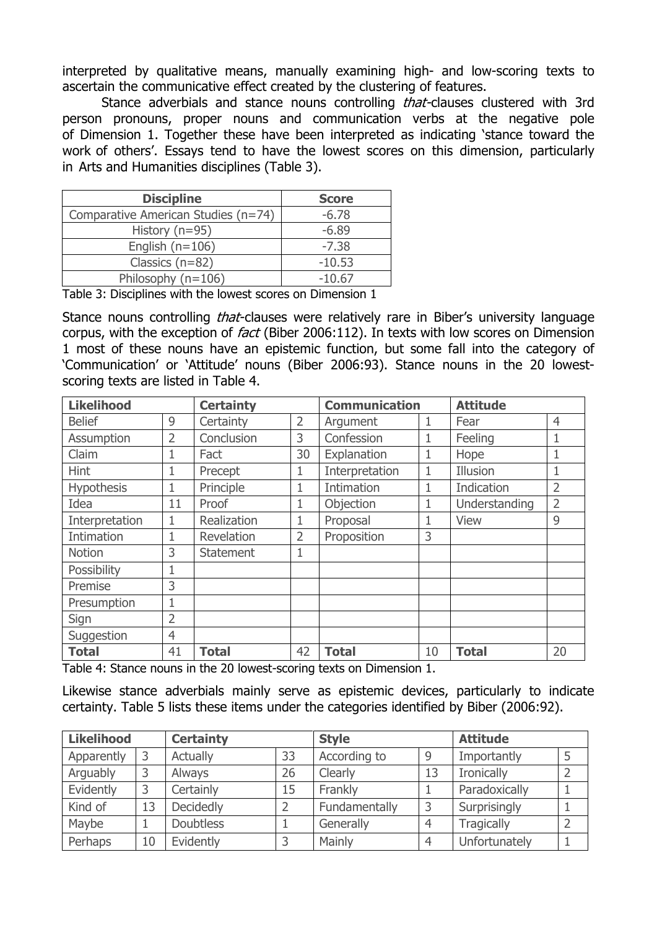interpreted by qualitative means, manually examining high- and low-scoring texts to ascertain the communicative effect created by the clustering of features.

Stance adverbials and stance nouns controlling *that*-clauses clustered with 3rd person pronouns, proper nouns and communication verbs at the negative pole of Dimension 1. Together these have been interpreted as indicating 'stance toward the work of others'. Essays tend to have the lowest scores on this dimension, particularly in Arts and Humanities disciplines (Table 3).

| <b>Discipline</b>                   | <b>Score</b> |
|-------------------------------------|--------------|
| Comparative American Studies (n=74) | $-6.78$      |
| History $(n=95)$                    | $-6.89$      |
| English $(n=106)$                   | $-7.38$      |
| Classics $(n=82)$                   | $-10.53$     |
| Philosophy $(n=106)$                | $-10.67$     |

Table 3: Disciplines with the lowest scores on Dimension 1

Stance nouns controlling *that*-clauses were relatively rare in Biber's university language corpus, with the exception of *fact* (Biber 2006:112). In texts with low scores on Dimension 1 most of these nouns have an epistemic function, but some fall into the category of 'Communication' or 'Attitude' nouns (Biber 2006:93). Stance nouns in the 20 lowestscoring texts are listed in Table 4.

| <b>Likelihood</b> |                | <b>Certainty</b> |                | <b>Communication</b> |    | <b>Attitude</b> |                |
|-------------------|----------------|------------------|----------------|----------------------|----|-----------------|----------------|
| <b>Belief</b>     | 9              | Certainty        | $\overline{2}$ | Argument             | 1  | Fear            | $\overline{4}$ |
| Assumption        | $\overline{2}$ | Conclusion       | 3              | Confession           | 1  | Feeling         |                |
| Claim             |                | Fact             | 30             | Explanation          | 1  | Hope            |                |
| <b>Hint</b>       |                | Precept          | 1              | Interpretation       | 1  | Illusion        | 1              |
| <b>Hypothesis</b> |                | Principle        |                | Intimation           | 1  | Indication      | $\overline{2}$ |
| Idea              | 11             | Proof            | 1              | Objection            | 1  | Understanding   | $\overline{2}$ |
| Interpretation    |                | Realization      |                | Proposal             | 1  | <b>View</b>     | 9              |
| Intimation        |                | Revelation       | $\overline{2}$ | Proposition          | 3  |                 |                |
| <b>Notion</b>     | 3              | <b>Statement</b> | 1              |                      |    |                 |                |
| Possibility       |                |                  |                |                      |    |                 |                |
| Premise           | 3              |                  |                |                      |    |                 |                |
| Presumption       |                |                  |                |                      |    |                 |                |
| Sign              | $\overline{2}$ |                  |                |                      |    |                 |                |
| Suggestion        | $\overline{4}$ |                  |                |                      |    |                 |                |
| <b>Total</b>      | 41             | <b>Total</b>     | 42             | <b>Total</b>         | 10 | <b>Total</b>    | 20             |

Table 4: Stance nouns in the 20 lowest-scoring texts on Dimension 1.

Likewise stance adverbials mainly serve as epistemic devices, particularly to indicate certainty. Table 5 lists these items under the categories identified by Biber (2006:92).

| <b>Likelihood</b> |    | <b>Certainty</b> |    | <b>Style</b>  |                | <b>Attitude</b>   |  |
|-------------------|----|------------------|----|---------------|----------------|-------------------|--|
| Apparently        |    | Actually         | 33 | According to  | 9              | Importantly       |  |
| Arguably          |    | Always           | 26 | Clearly       | 13             | <b>Ironically</b> |  |
| Evidently         |    | Certainly        | 15 | Frankly       |                | Paradoxically     |  |
| Kind of           | 13 | Decidedly        |    | Fundamentally | 3              | Surprisingly      |  |
| Maybe             |    | <b>Doubtless</b> |    | Generally     | $\overline{4}$ | <b>Tragically</b> |  |
| Perhaps           | 10 | Evidently        |    | Mainly        |                | Unfortunately     |  |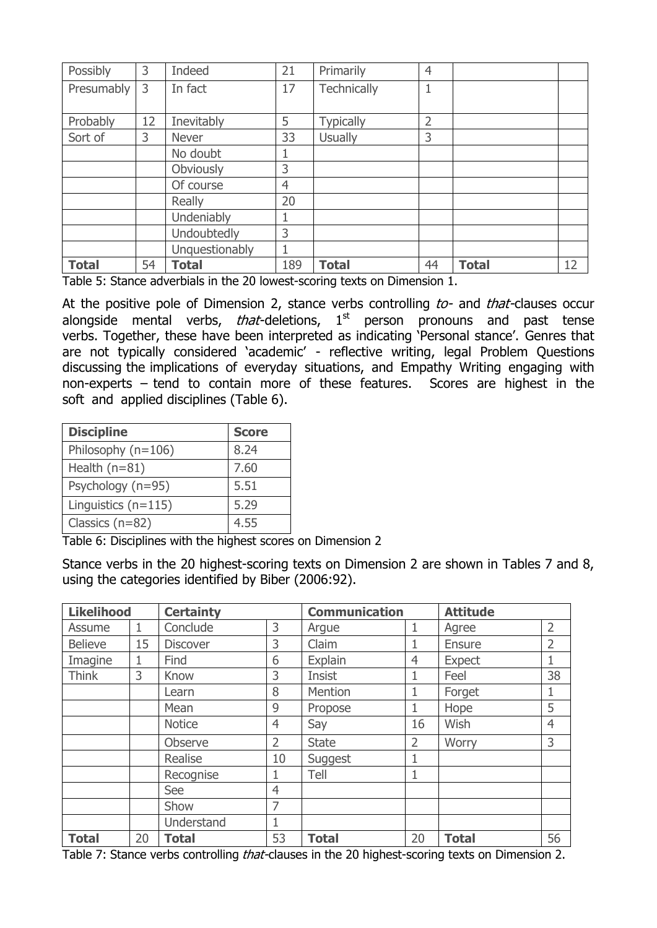| Possibly     | 3  | Indeed         | 21  | Primarily        | $\overline{4}$ |              |    |
|--------------|----|----------------|-----|------------------|----------------|--------------|----|
| Presumably   | 3  | In fact        | 17  | Technically      |                |              |    |
|              |    |                |     |                  |                |              |    |
| Probably     | 12 | Inevitably     | 5   | <b>Typically</b> | $\overline{2}$ |              |    |
| Sort of      | 3  | <b>Never</b>   | 33  | <b>Usually</b>   | 3              |              |    |
|              |    | No doubt       |     |                  |                |              |    |
|              |    | Obviously      | 3   |                  |                |              |    |
|              |    | Of course      | 4   |                  |                |              |    |
|              |    | <b>Really</b>  | 20  |                  |                |              |    |
|              |    | Undeniably     |     |                  |                |              |    |
|              |    | Undoubtedly    | 3   |                  |                |              |    |
|              |    | Unquestionably |     |                  |                |              |    |
| <b>Total</b> | 54 | <b>Total</b>   | 189 | <b>Total</b>     | 44             | <b>Total</b> | 12 |

Table 5: Stance adverbials in the 20 lowest-scoring texts on Dimension 1.

At the positive pole of Dimension 2, stance verbs controlling to- and that-clauses occur alongside mental verbs, *that*-deletions,  $1<sup>st</sup>$  person pronouns and past tense verbs. Together, these have been interpreted as indicating 'Personal stance'. Genres that are not typically considered 'academic' - reflective writing, legal Problem Questions discussing the implications of everyday situations, and Empathy Writing engaging with non-experts – tend to contain more of these features. Scores are highest in the soft and applied disciplines (Table 6).

| <b>Discipline</b>     | <b>Score</b> |
|-----------------------|--------------|
| Philosophy $(n=106)$  | 8.24         |
| Health $(n=81)$       | 7.60         |
| Psychology (n=95)     | 5.51         |
| Linguistics $(n=115)$ | 5.29         |
| Classics $(n=82)$     | 4.55         |

Table 6: Disciplines with the highest scores on Dimension 2

Stance verbs in the 20 highest-scoring texts on Dimension 2 are shown in Tables 7 and 8, using the categories identified by Biber (2006:92).

| <b>Likelihood</b> |    | <b>Certainty</b> |    | <b>Communication</b> |                | <b>Attitude</b> |                |
|-------------------|----|------------------|----|----------------------|----------------|-----------------|----------------|
| Assume            | 1  | Conclude         | 3  | Argue                | 1              | Agree           | $\overline{2}$ |
| <b>Believe</b>    | 15 | <b>Discover</b>  | 3  | Claim                | 1              | <b>Ensure</b>   | $\overline{2}$ |
| Imagine           | 1  | Find             | 6  | Explain              | $\overline{4}$ | <b>Expect</b>   | 1              |
| <b>Think</b>      | 3  | Know             | 3  | <b>Insist</b>        | 1              | Feel            | 38             |
|                   |    | Learn            | 8  | Mention              | 1              | Forget          | 1              |
|                   |    | Mean             | 9  | Propose              | $\mathbf 1$    | Hope            | 5              |
|                   |    | <b>Notice</b>    | 4  | Say                  | 16             | Wish            | 4              |
|                   |    | Observe          | 2  | <b>State</b>         | $\overline{2}$ | Worry           | 3              |
|                   |    | Realise          | 10 | Suggest              | 1              |                 |                |
|                   |    | Recognise        |    | Tell                 | 1              |                 |                |
|                   |    | See              | 4  |                      |                |                 |                |
|                   |    | Show             | 7  |                      |                |                 |                |
|                   |    | Understand       |    |                      |                |                 |                |
| <b>Total</b>      | 20 | <b>Total</b>     | 53 | <b>Total</b>         | 20             | <b>Total</b>    | 56             |

Table 7: Stance verbs controlling *that*-clauses in the 20 highest-scoring texts on Dimension 2.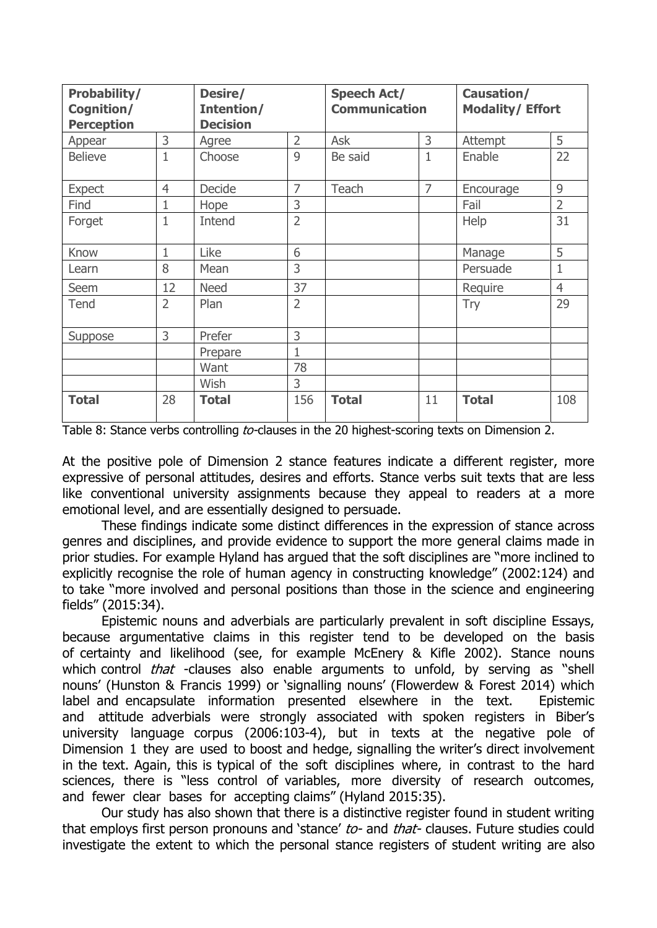| Probability/<br>Cognition/<br><b>Perception</b> |                | Desire/<br>Intention/<br><b>Decision</b> |                | <b>Speech Act/</b><br><b>Communication</b> |                | Causation/<br><b>Modality/Effort</b> |                |
|-------------------------------------------------|----------------|------------------------------------------|----------------|--------------------------------------------|----------------|--------------------------------------|----------------|
| Appear                                          | 3              | Agree                                    | $\overline{2}$ | Ask                                        | 3              | Attempt                              | 5              |
| <b>Believe</b>                                  | $\mathbf{1}$   | Choose                                   | 9              | Be said                                    | $\mathbf{1}$   | Enable                               | 22             |
| <b>Expect</b>                                   | $\overline{4}$ | Decide                                   | $\overline{7}$ | Teach                                      | $\overline{7}$ | Encourage                            | 9              |
| Find                                            | 1              | Hope                                     | 3              |                                            |                | Fail                                 | $\overline{2}$ |
| Forget                                          | $\mathbf{1}$   | Intend                                   | $\overline{2}$ |                                            |                | Help                                 | 31             |
| Know                                            | 1              | Like                                     | 6              |                                            |                | Manage                               | 5              |
| Learn                                           | 8              | Mean                                     | 3              |                                            |                | Persuade                             | $\mathbf{1}$   |
| Seem                                            | 12             | <b>Need</b>                              | 37             |                                            |                | Require                              | $\overline{4}$ |
| Tend                                            | $\overline{2}$ | Plan                                     | $\overline{2}$ |                                            |                | Try                                  | 29             |
| Suppose                                         | 3              | Prefer                                   | 3              |                                            |                |                                      |                |
|                                                 |                | Prepare                                  | $\overline{1}$ |                                            |                |                                      |                |
|                                                 |                | Want                                     | 78             |                                            |                |                                      |                |
|                                                 |                | Wish                                     | 3              |                                            |                |                                      |                |
| <b>Total</b>                                    | 28             | <b>Total</b>                             | 156            | <b>Total</b>                               | 11             | <b>Total</b>                         | 108            |

Table 8: Stance verbs controlling to-clauses in the 20 highest-scoring texts on Dimension 2.

At the positive pole of Dimension 2 stance features indicate a different register, more expressive of personal attitudes, desires and efforts. Stance verbs suit texts that are less like conventional university assignments because they appeal to readers at a more emotional level, and are essentially designed to persuade.

These findings indicate some distinct differences in the expression of stance across genres and disciplines, and provide evidence to support the more general claims made in prior studies. For example Hyland has argued that the soft disciplines are "more inclined to explicitly recognise the role of human agency in constructing knowledge" (2002:124) and to take "more involved and personal positions than those in the science and engineering fields" (2015:34).

Epistemic nouns and adverbials are particularly prevalent in soft discipline Essays, because argumentative claims in this register tend to be developed on the basis of certainty and likelihood (see, for example McEnery & Kifle 2002). Stance nouns which control *that* -clauses also enable arguments to unfold, by serving as "shell nouns' (Hunston & Francis 1999) or 'signalling nouns' (Flowerdew & Forest 2014) which label and encapsulate information presented elsewhere in the text. Epistemic and attitude adverbials were strongly associated with spoken registers in Biber's university language corpus (2006:103-4), but in texts at the negative pole of Dimension 1 they are used to boost and hedge, signalling the writer's direct involvement in the text. Again, this is typical of the soft disciplines where, in contrast to the hard sciences, there is "less control of variables, more diversity of research outcomes, and fewer clear bases for accepting claims" (Hyland 2015:35).

Our study has also shown that there is a distinctive register found in student writing that employs first person pronouns and 'stance' to- and that- clauses. Future studies could investigate the extent to which the personal stance registers of student writing are also